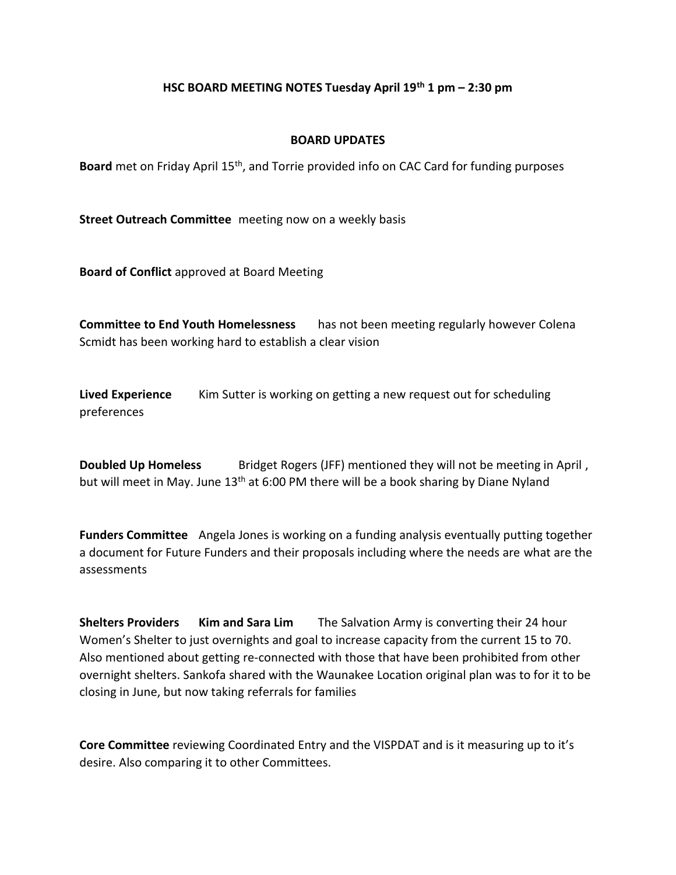## **HSC BOARD MEETING NOTES Tuesday April 19th 1 pm – 2:30 pm**

#### **BOARD UPDATES**

Board met on Friday April 15<sup>th</sup>, and Torrie provided info on CAC Card for funding purposes

**Street Outreach Committee** meeting now on a weekly basis

**Board of Conflict** approved at Board Meeting

**Committee to End Youth Homelessness** has not been meeting regularly however Colena Scmidt has been working hard to establish a clear vision

**Lived Experience** Kim Sutter is working on getting a new request out for scheduling preferences

**Doubled Up Homeless** Bridget Rogers (JFF) mentioned they will not be meeting in April, but will meet in May. June 13<sup>th</sup> at 6:00 PM there will be a book sharing by Diane Nyland

**Funders Committee** Angela Jones is working on a funding analysis eventually putting together a document for Future Funders and their proposals including where the needs are what are the assessments

**Shelters Providers Kim and Sara Lim** The Salvation Army is converting their 24 hour Women's Shelter to just overnights and goal to increase capacity from the current 15 to 70. Also mentioned about getting re-connected with those that have been prohibited from other overnight shelters. Sankofa shared with the Waunakee Location original plan was to for it to be closing in June, but now taking referrals for families

**Core Committee** reviewing Coordinated Entry and the VISPDAT and is it measuring up to it's desire. Also comparing it to other Committees.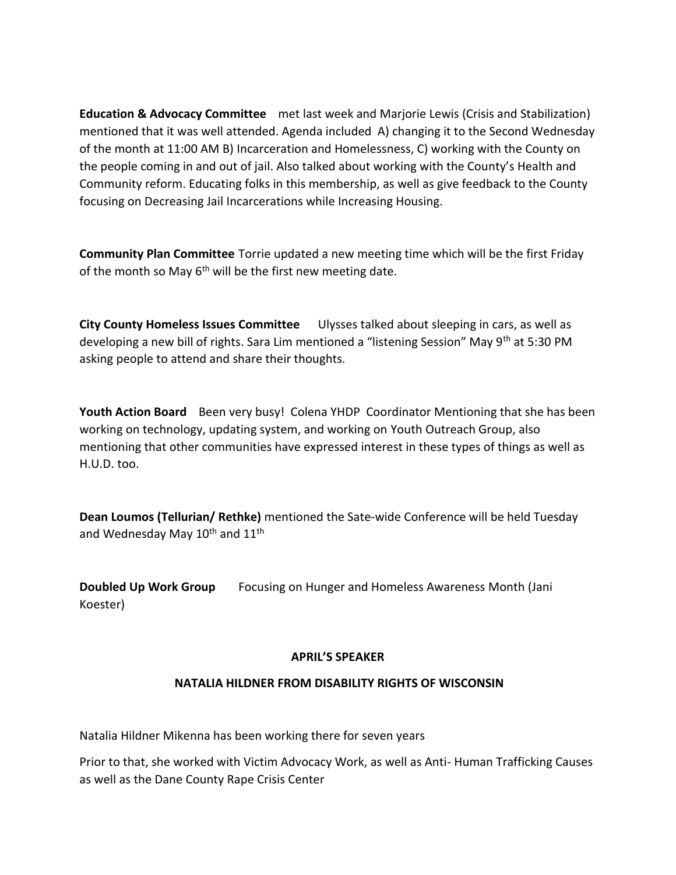**Education & Advocacy Committee** met last week and Marjorie Lewis (Crisis and Stabilization) mentioned that it was well attended. Agenda included A) changing it to the Second Wednesday of the month at 11:00 AM B) Incarceration and Homelessness, C) working with the County on the people coming in and out of jail. Also talked about working with the County's Health and Community reform. Educating folks in this membership, as well as give feedback to the County focusing on Decreasing Jail Incarcerations while Increasing Housing.

**Community Plan Committee** Torrie updated a new meeting time which will be the first Friday of the month so May  $6<sup>th</sup>$  will be the first new meeting date.

**City County Homeless Issues Committee** Ulysses talked about sleeping in cars, as well as developing a new bill of rights. Sara Lim mentioned a "listening Session" May 9<sup>th</sup> at 5:30 PM asking people to attend and share their thoughts.

**Youth Action Board** Been very busy! Colena YHDP Coordinator Mentioning that she has been working on technology, updating system, and working on Youth Outreach Group, also mentioning that other communities have expressed interest in these types of things as well as H.U.D. too.

**Dean Loumos (Tellurian/ Rethke)** mentioned the Sate-wide Conference will be held Tuesday and Wednesday May  $10^{th}$  and  $11^{th}$ 

**Doubled Up Work Group** Focusing on Hunger and Homeless Awareness Month (Jani Koester)

#### **APRIL'S SPEAKER**

# **NATALIA HILDNER FROM DISABILITY RIGHTS OF WISCONSIN**

Natalia Hildner Mikenna has been working there for seven years

Prior to that, she worked with Victim Advocacy Work, as well as Anti- Human Trafficking Causes as well as the Dane County Rape Crisis Center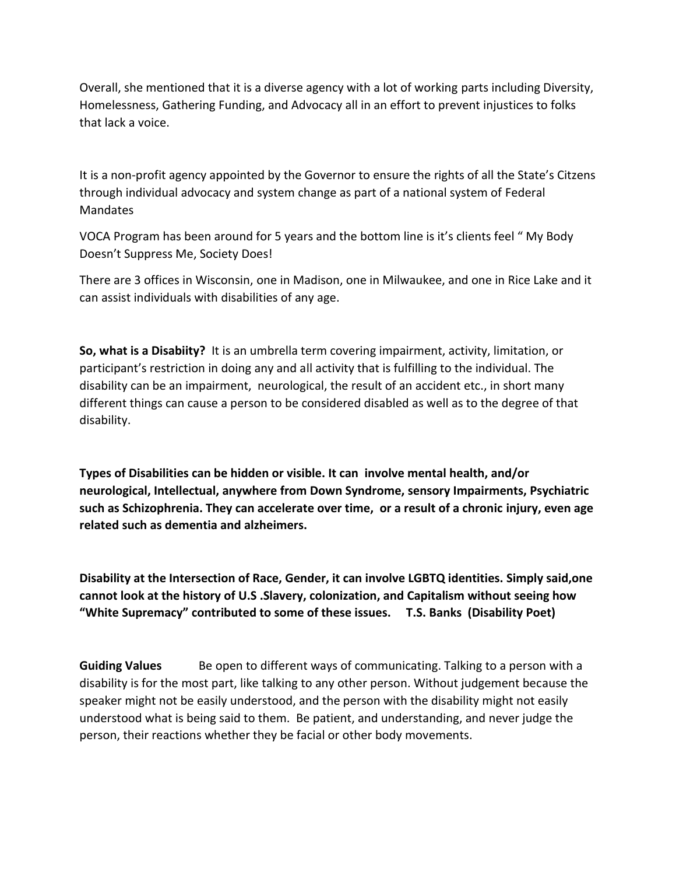Overall, she mentioned that it is a diverse agency with a lot of working parts including Diversity, Homelessness, Gathering Funding, and Advocacy all in an effort to prevent injustices to folks that lack a voice.

It is a non-profit agency appointed by the Governor to ensure the rights of all the State's Citzens through individual advocacy and system change as part of a national system of Federal Mandates

VOCA Program has been around for 5 years and the bottom line is it's clients feel " My Body Doesn't Suppress Me, Society Does!

There are 3 offices in Wisconsin, one in Madison, one in Milwaukee, and one in Rice Lake and it can assist individuals with disabilities of any age.

**So, what is a Disabiity?** It is an umbrella term covering impairment, activity, limitation, or participant's restriction in doing any and all activity that is fulfilling to the individual. The disability can be an impairment, neurological, the result of an accident etc., in short many different things can cause a person to be considered disabled as well as to the degree of that disability.

**Types of Disabilities can be hidden or visible. It can involve mental health, and/or neurological, Intellectual, anywhere from Down Syndrome, sensory Impairments, Psychiatric such as Schizophrenia. They can accelerate over time, or a result of a chronic injury, even age related such as dementia and alzheimers.**

**Disability at the Intersection of Race, Gender, it can involve LGBTQ identities. Simply said,one cannot look at the history of U.S .Slavery, colonization, and Capitalism without seeing how "White Supremacy" contributed to some of these issues. T.S. Banks (Disability Poet)**

**Guiding Values** Be open to different ways of communicating. Talking to a person with a disability is for the most part, like talking to any other person. Without judgement because the speaker might not be easily understood, and the person with the disability might not easily understood what is being said to them. Be patient, and understanding, and never judge the person, their reactions whether they be facial or other body movements.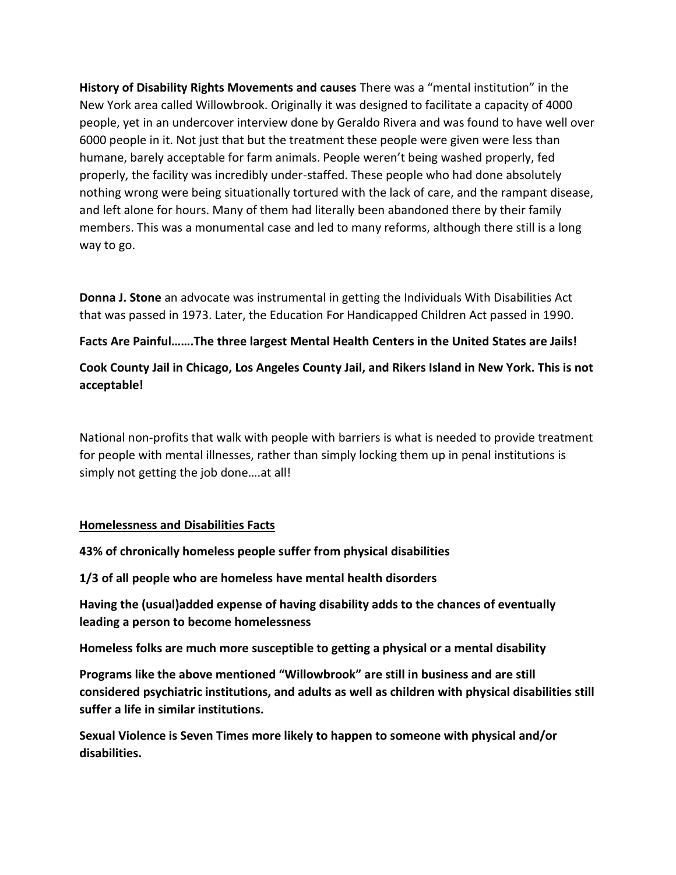**History of Disability Rights Movements and causes** There was a "mental institution" in the New York area called Willowbrook. Originally it was designed to facilitate a capacity of 4000 people, yet in an undercover interview done by Geraldo Rivera and was found to have well over 6000 people in it. Not just that but the treatment these people were given were less than humane, barely acceptable for farm animals. People weren't being washed properly, fed properly, the facility was incredibly under-staffed. These people who had done absolutely nothing wrong were being situationally tortured with the lack of care, and the rampant disease, and left alone for hours. Many of them had literally been abandoned there by their family members. This was a monumental case and led to many reforms, although there still is a long way to go.

**Donna J. Stone** an advocate was instrumental in getting the Individuals With Disabilities Act that was passed in 1973. Later, the Education For Handicapped Children Act passed in 1990.

**Facts Are Painful…….The three largest Mental Health Centers in the United States are Jails!**

**Cook County Jail in Chicago, Los Angeles County Jail, and Rikers Island in New York. This is not acceptable!**

National non-profits that walk with people with barriers is what is needed to provide treatment for people with mental illnesses, rather than simply locking them up in penal institutions is simply not getting the job done….at all!

# **Homelessness and Disabilities Facts**

**43% of chronically homeless people suffer from physical disabilities**

**1/3 of all people who are homeless have mental health disorders**

**Having the (usual)added expense of having disability adds to the chances of eventually leading a person to become homelessness**

**Homeless folks are much more susceptible to getting a physical or a mental disability**

**Programs like the above mentioned "Willowbrook" are still in business and are still considered psychiatric institutions, and adults as well as children with physical disabilities still suffer a life in similar institutions.**

**Sexual Violence is Seven Times more likely to happen to someone with physical and/or disabilities.**